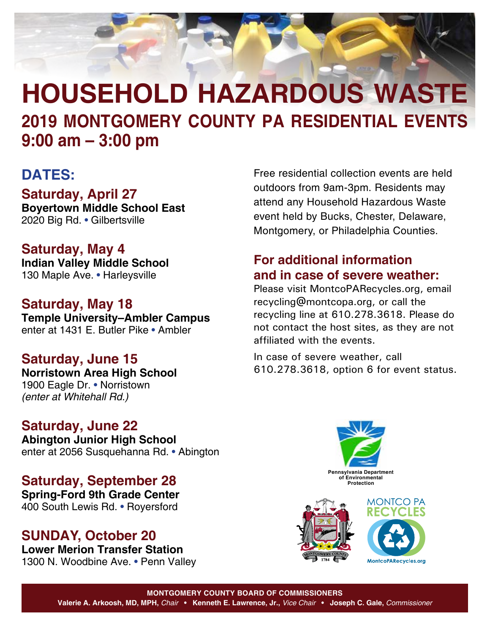

### **DATES:**

**Saturday, April 27**

**Boyertown Middle School East** 2020 Big Rd. • Gilbertsville

**Saturday, May 4 Indian Valley Middle School** 130 Maple Ave. • Harleysville

**Saturday, May 18 Temple University–Ambler Campus** enter at 1431 E. Butler Pike • Ambler

**Saturday, June 15 Norristown Area High School** 1900 Eagle Dr. • Norristown *(enter at Whitehall Rd.)*

## **Saturday, June 22**

**Abington Junior High School** enter at 2056 Susquehanna Rd. • Abington

**Saturday, September 28 Spring-Ford 9th Grade Center** 400 South Lewis Rd. • Royersford

### **SUNDAY, October 20**

**Lower Merion Transfer Station** 1300 N. Woodbine Ave. • Penn Valley Free residential collection events are held outdoors from 9am-3pm. Residents may attend any Household Hazardous Waste event held by Bucks, Chester, Delaware, Montgomery, or Philadelphia Counties.

### **For additional information and in case of severe weather:**

Please visit [MontcoPARecycles.org,](https://www.montcopa.org/637/Recycling-Information) email [recycling@montcopa.org](mailto:recycling%40montcopa.org?subject=2019%20Household%20Hazardous%20Waste%20Events), or call the recycling line at 610.278.3618. Please do not contact the host sites, as they are not affiliated with the events.

In case of severe weather, call 610.278.3618, option 6 for event status.



**Pennsylvania Department of Environmental Protection**